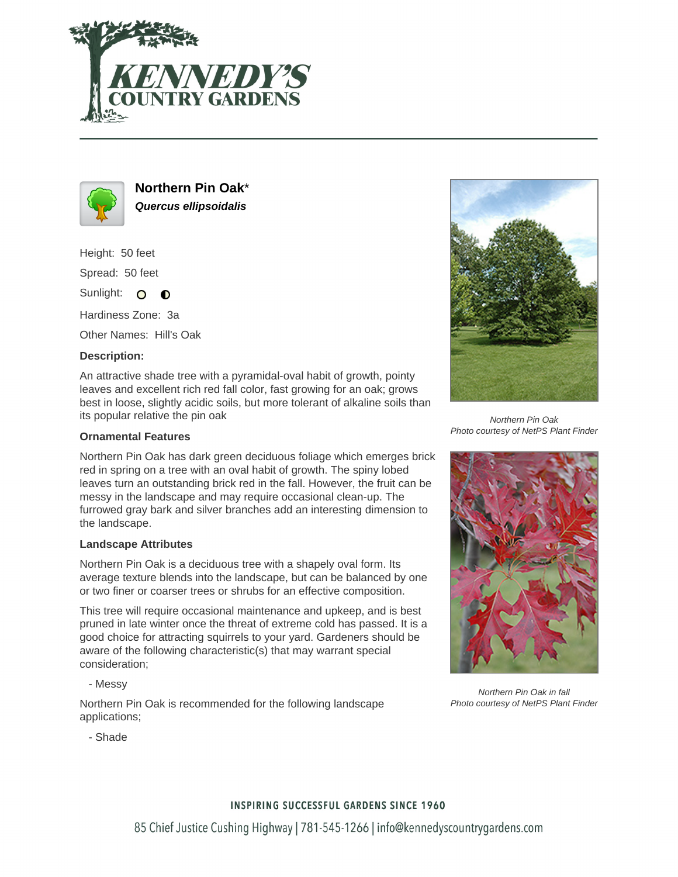



**Northern Pin Oak**\* **Quercus ellipsoidalis**

Height: 50 feet

Spread: 50 feet

Sunlight: O **O** 

Hardiness Zone: 3a

Other Names: Hill's Oak

## **Description:**

An attractive shade tree with a pyramidal-oval habit of growth, pointy leaves and excellent rich red fall color, fast growing for an oak; grows best in loose, slightly acidic soils, but more tolerant of alkaline soils than its popular relative the pin oak

### **Ornamental Features**

Northern Pin Oak has dark green deciduous foliage which emerges brick red in spring on a tree with an oval habit of growth. The spiny lobed leaves turn an outstanding brick red in the fall. However, the fruit can be messy in the landscape and may require occasional clean-up. The furrowed gray bark and silver branches add an interesting dimension to the landscape.

#### **Landscape Attributes**

Northern Pin Oak is a deciduous tree with a shapely oval form. Its average texture blends into the landscape, but can be balanced by one or two finer or coarser trees or shrubs for an effective composition.

This tree will require occasional maintenance and upkeep, and is best pruned in late winter once the threat of extreme cold has passed. It is a good choice for attracting squirrels to your yard. Gardeners should be aware of the following characteristic(s) that may warrant special consideration;

- Messy

Northern Pin Oak is recommended for the following landscape applications;



Northern Pin Oak Photo courtesy of NetPS Plant Finder



Northern Pin Oak in fall Photo courtesy of NetPS Plant Finder

- Shade

## **INSPIRING SUCCESSFUL GARDENS SINCE 1960**

85 Chief Justice Cushing Highway | 781-545-1266 | info@kennedyscountrygardens.com